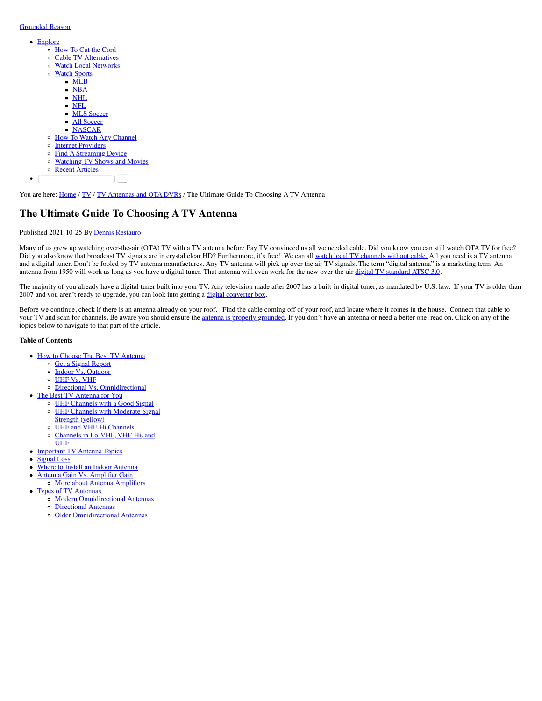### [Grounded Reason](https://www.groundedreason.com/)

- [Explore](https://www.groundedreason.com/watch-tv-free-antenna-guide/#)
	- [How To Cut the Cord](https://www.groundedreason.com/cord-cutting-faq/)
	- [Cable TV Alternatives](https://www.groundedreason.com/cable-tv-alternatives/)
	- [Watch Local Networks](https://www.groundedreason.com/watch-local-channels-without-cable/)
	- o [Watch Sports](https://www.groundedreason.com/watch-tv-free-antenna-guide/#)
		- [MLB](https://www.groundedreason.com/how-to-watch-mlb-games-without-cable/)
		- [NBA](https://www.groundedreason.com/how-to-watch-nba-games/)
		- $\blacksquare$ [NHL](https://www.groundedreason.com/how-to-watch-nhl-hockey/)
		- [NFL](https://www.groundedreason.com/how-to-watch-nfl-football-online/)  $\blacksquare$
		- $\blacksquare$ **MLS** Soccer
		- **[All Soccer](https://www.groundedreason.com/watch-soccer-online-get-roku/)** [NASCAR](https://www.groundedreason.com/nascar-is-back-online/)
	- o [How To Watch Any Channel](https://www.groundedreason.com/cord-cutting/tv-streaming/how-to-stream-by-channel/)
	- o [Internet Providers](https://www.groundedreason.com/how-to-get-internet-without-cable/)
	- o [Find A Streaming Device](https://www.groundedreason.com/which-streaming-device-is-best-for-you/)
	- [Watching TV Shows and Movies](https://www.groundedreason.com/cord-cutting/tv-streaming/tv-show-how-to-reviews/)
	- o [Recent Articles](https://www.groundedreason.com/blog/)
	- Search this website **Search that**

You are here: [Home](https://www.groundedreason.com/) / [TV](https://www.groundedreason.com/cord-cutting/) / [TV Antennas and OTA DVRs](https://www.groundedreason.com/cord-cutting/tv-antennas/) / The Ultimate Guide To Choosing A TV Antenna

## **The Ultimate Guide To Choosing A TV Antenna**

### Published 2021-10-25 By [Dennis Restauro](https://www.groundedreason.com/author/drestauro/)

Many of us grew up watching over-the-air (OTA) TV with a TV antenna before Pay TV convinced us all we needed cable. Did you know you can still watch OTA TV for free? Did you also know that broadcast TV signals are in crystal clear HD? Furthermore, it's free! We can all [watch local TV channels without cable.](https://www.groundedreason.com/watch-local-channels-without-cable/) All you need is a TV antenna and a digital tuner. Don't be fooled by TV antenna manufactures. Any TV antenna will pick up over the air TV signals. The term "digital antenna" is a marketing term. An antenna from 1950 will work as long as you have a digital tuner. That antenna will even work for the new over-the-air [digital TV standard ATSC 3.0](https://www.groundedreason.com/nextgen-tv-what-tv-viewers-need-to-know-about-atsc-3-0/).

The majority of you already have a digital tuner built into your TV. Any television made after 2007 has a built-in digital tuner, as mandated by U.S. law. If your TV is older than 2007 and you aren't ready to upgrade, you can look into getting a [digital converter box](https://www.groundedreason.com/digital-converter-box/).

Before we continue, check if there is an antenna already on your roof. Find the cable coming off of your roof, and locate where it comes in the house. Connect that cable to your TV and scan for channels. Be aware you should ensure the [antenna is properly grounded.](https://www.groundedreason.com/how-to-ground-an-outdoor-antenna/) If you don't have an antenna or need a better one, read on. Click on any of the topics below to navigate to that part of the article.

#### **Table of Contents**

- [How to Choose The Best TV Antenna](https://www.groundedreason.com/watch-tv-free-antenna-guide/#How_to_Choose_The_Best_TV_Antenna)
	- o [Get a Signal Report](https://www.groundedreason.com/watch-tv-free-antenna-guide/#Get_a_Signal_Report)
	- o [Indoor Vs. Outdoor](https://www.groundedreason.com/watch-tv-free-antenna-guide/#Indoor_Vs_Outdoor)
	- [UHF Vs. VHF](https://www.groundedreason.com/watch-tv-free-antenna-guide/#UHF_Vs_VHF)
	- [Directional Vs. Omnidirectional](https://www.groundedreason.com/watch-tv-free-antenna-guide/#Directional_Vs_Omnidirectional)
- [The Best TV Antenna for You](https://www.groundedreason.com/watch-tv-free-antenna-guide/#The_Best_TV_Antenna_for_You)
	- [UHF Channels with a Good Signal](https://www.groundedreason.com/watch-tv-free-antenna-guide/#UHF_Channels_with_a_Good_Signal) [UHF Channels with Moderate Signal](https://www.groundedreason.com/watch-tv-free-antenna-guide/#UHF_Channels_with_Moderate_Signal_Strength_yellow)
	- Strength (yellow)
	- [UHF and VHF-Hi Channels](https://www.groundedreason.com/watch-tv-free-antenna-guide/#UHF_and_VHF-Hi_Channels)  $\circ$
	- [Channels in Lo-VHF, VHF-Hi, and](https://www.groundedreason.com/watch-tv-free-antenna-guide/#Channels_in_Lo-VHF_VHF-Hi_and_UHF)
	- UHF
	- [Important TV Antenna Topics](https://www.groundedreason.com/watch-tv-free-antenna-guide/#Important_TV_Antenna_Topics)
- [Signal Loss](https://www.groundedreason.com/watch-tv-free-antenna-guide/#Signal_Loss)  $\bullet$
- 

 $\bullet$ 

- [Where to Install an Indoor Antenna](https://www.groundedreason.com/watch-tv-free-antenna-guide/#Where_to_Install_an_Indoor_Antenna)  $\bullet$ 
	- [Antenna Gain Vs. Amplifier Gain](https://www.groundedreason.com/watch-tv-free-antenna-guide/#Antenna_Gain_Vs_Amplifier_Gain)
- o [More about Antenna Amplifiers](https://www.groundedreason.com/watch-tv-free-antenna-guide/#More_about_Antenna_Amplifiers) [Types of TV Antennas](https://www.groundedreason.com/watch-tv-free-antenna-guide/#Types_of_TV_Antennas)
	- o [Modern Omnidirectional Antennas](https://www.groundedreason.com/watch-tv-free-antenna-guide/#Modern_Omnidirectional_Antennas)
	- [Directional Antennas](https://www.groundedreason.com/watch-tv-free-antenna-guide/#Directional_Antennas)
	- [Older Omnidirectional Antennas](https://www.groundedreason.com/watch-tv-free-antenna-guide/#Older_Omnidirectional_Antennas)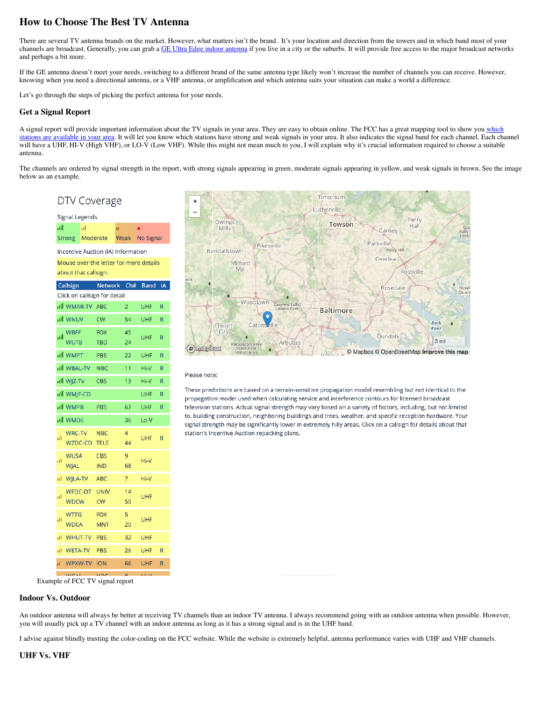# **How to Choose The Best TV Antenna**

There are several TV antenna brands on the market. However, what matters isn't the brand. It's your location and direction from the towers and in which band most of your channels are broadcast. Generally, you can grab a [GE Ultra Edge indoor antenna](https://www.groundedreason.com/ge-ultra-edge-indoor-tv-antenna-review/) if you live in a city or the suburbs. It will provide free access to the major broadcast networks and perhaps a bit more.

If the GE antenna doesn't meet your needs, switching to a different brand of the same antenna type likely won't increase the number of channels you can receive. However, knowing when you need a directional antenna, or a VHF antenna, or amplification and which antenna suits your situation can make a world a difference.

Let's go through the steps of picking the perfect antenna for your needs.

## **Get a Signal Report**

[A signal report will provide important information about the TV signals in your area. They are easy to obtain online. The FCC has a great mapping tool to show you which](https://www.fcc.gov/media/engineering/dtvmaps) stations are available in your area. It will let you know which stations have strong and weak signals in your area. It also indicates the signal band for each channel. Each channel will have a UHF, HI-V (High VHF), or LO-V (Low VHF). While this might not mean much to you, I will explain why it's crucial information required to choose a suitable antenna.

The channels are ordered by signal strength in the report, with strong signals appearing in green, moderate signals appearing in yellow, and weak signals in brown. See the image below as an example.

| DTV Coverage                                                   |                               |             |                           |             |             |           |  |  |  |  |  |
|----------------------------------------------------------------|-------------------------------|-------------|---------------------------|-------------|-------------|-----------|--|--|--|--|--|
|                                                                | Signal Legends                |             |                           |             |             |           |  |  |  |  |  |
| all                                                            | al<br><b>Strong</b>           |             | Moderate                  | đ<br>Weak   | ×           | No Signal |  |  |  |  |  |
| Incentive Auction (IA) Information                             |                               |             |                           |             |             |           |  |  |  |  |  |
| Mouse over the letter for more details<br>about that callsign. |                               |             |                           |             |             |           |  |  |  |  |  |
|                                                                | Callsign                      |             |                           | Network Ch# | <b>Band</b> | <b>IA</b> |  |  |  |  |  |
| Click on callsign for detail                                   |                               |             |                           |             |             |           |  |  |  |  |  |
|                                                                | ull WMAR-TV ABC               |             |                           | 2           | <b>UHF</b>  | R         |  |  |  |  |  |
|                                                                | ail wnuv                      |             | <b>CW</b>                 | 54          | <b>UHF</b>  | R         |  |  |  |  |  |
| ٠ıl                                                            | <b>WBFF</b><br><b>WUTB</b>    |             | <b>FOX</b>                | 45          | UHF         | R         |  |  |  |  |  |
|                                                                |                               |             | TBD                       | 24          |             |           |  |  |  |  |  |
|                                                                | all WMPT                      |             | PBS                       | 22          | UHF         | R         |  |  |  |  |  |
|                                                                | all WBAL-TV NBC               |             |                           | 11          | Hi-V        | R         |  |  |  |  |  |
|                                                                | all WJZ-TV                    |             | CBS                       | 13          | Hi-V        | R         |  |  |  |  |  |
|                                                                | all WMJF-CD                   |             |                           |             | <b>UHF</b>  | R         |  |  |  |  |  |
|                                                                | all WMPB                      |             | PBS                       | 67          | UHF         | R         |  |  |  |  |  |
|                                                                | all WMDE                      |             |                           | 36          | Lo-V        |           |  |  |  |  |  |
| пĪ                                                             | <b>WRC-TV</b><br>WZDC-CD      |             | <b>NBC</b><br><b>TELE</b> | 4<br>44     | <b>UHF</b>  | R         |  |  |  |  |  |
| пI                                                             | <b>WUSA</b><br>WJAL           |             | CBS<br><b>IND</b>         | 9<br>68     | Hi-V        |           |  |  |  |  |  |
| al.                                                            | WJLA-TV                       |             | <b>ABC</b>                | 7           | Hi-V        |           |  |  |  |  |  |
| пI                                                             | <b>WFDC-DT</b><br><b>WDCW</b> |             | <b>UNIV</b><br><b>CW</b>  | 14<br>50    | UHF         |           |  |  |  |  |  |
| пI                                                             | <b>WTTG</b><br><b>WDCA</b>    |             | <b>FOX</b><br><b>MNT</b>  | 5<br>20     | UHF         |           |  |  |  |  |  |
| пI                                                             | WHUT-TV                       |             | PBS<br>32                 |             | <b>UHF</b>  |           |  |  |  |  |  |
| al.                                                            | <b>WETA-TV</b>                |             | PBS<br>26                 |             | UHF<br>R    |           |  |  |  |  |  |
| d.                                                             |                               | WPXW-TV ION |                           | 66          | <b>UHF</b>  | R         |  |  |  |  |  |
| <b>COM</b><br>ble of FCC TV signal report                      |                               |             |                           |             |             |           |  |  |  |  |  |



#### Please note:

These predictions are based on a terrain-sensitive propagation model resembling but not identical to the propagation model used when calculating service and interference contours for licensed broadcast television stations. Actual signal strength may vary based on a variety of factors, including, but not limited to, building construction, neighboring buildings and trees, weather, and specific reception hardware. Your signal strength may be significantly lower in extremely hilly areas. Click on a callsign for details about that station's Incentive Auction repacking plans.

Example **Example** 

## **Indoor Vs. Outdoor**

An outdoor antenna will always be better at receiving TV channels than an indoor TV antenna. I always recommend going with an outdoor antenna when possible. However, you will usually pick up a TV channel with an indoor antenna as long as it has a strong signal and is in the UHF band.

I advise against blindly trusting the color-coding on the FCC website. While the website is extremely helpful, antenna performance varies with UHF and VHF channels.

## **UHF Vs. VHF**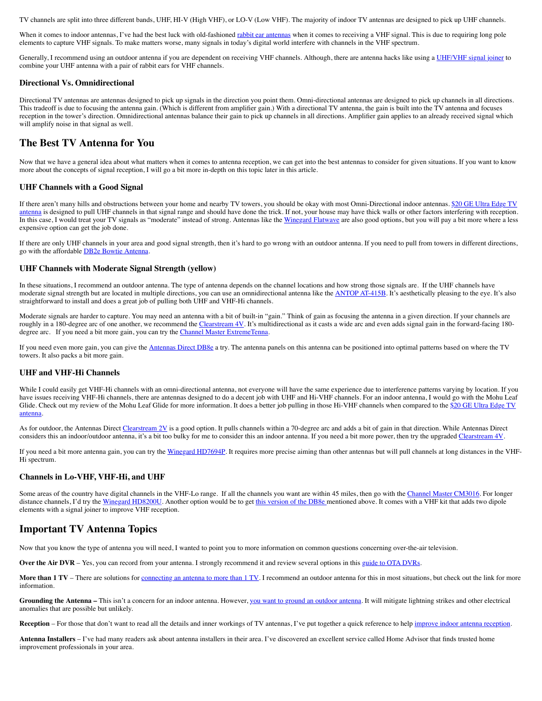TV channels are split into three different bands, UHF, HI-V (High VHF), or LO-V (Low VHF). The majority of indoor TV antennas are designed to pick up UHF channels.

When it comes to indoor antennas, I've had the best luck with old-fashioned [rabbit ear antennas](https://amzn.to/38WKEUr) when it comes to receiving a VHF signal. This is due to requiring long pole elements to capture VHF signals. To make matters worse, many signals in today's digital world interfere with channels in the VHF spectrum.

Generally, I recommend using an outdoor antenna if you are dependent on receiving VHF channels. Although, there are antenna hacks like using a [UHF/VHF signal joiner](https://amzn.to/2QkonJK) to combine your UHF antenna with a pair of rabbit ears for VHF channels.

### **Directional Vs. Omnidirectional**

Directional TV antennas are antennas designed to pick up signals in the direction you point them. Omni-directional antennas are designed to pick up channels in all directions. This tradeoff is due to focusing the antenna gain. (Which is different from amplifier gain.) With a directional TV antenna, the gain is built into the TV antenna and focuses reception in the tower's direction. Omnidirectional antennas balance their gain to pick up channels in all directions. Amplifier gain applies to an already received signal which will amplify noise in that signal as well.

## **The Best TV Antenna for You**

Now that we have a general idea about what matters when it comes to antenna reception, we can get into the best antennas to consider for given situations. If you want to know more about the concepts of signal reception, I will go a bit more in-depth on this topic later in this article.

### **UHF Channels with a Good Signal**

[If there aren't many hills and obstructions between your home and nearby TV towers, you should be okay with most Omni-Directional indoor antennas. \\$20 GE Ultra Edge TV](https://www.groundedreason.com/ge-ultra-edge-indoor-tv-antenna-review/) antenna is designed to pull UHF channels in that signal range and should have done the trick. If not, your house may have thick walls or other factors interfering with reception. In this case, I would treat your TV signals as "moderate" instead of strong. Antennas like the [Winegard Flatwave](https://www.groundedreason.com/winegard-flatwave-amped-hdtv-antenna/) are also good options, but you will pay a bit more where a less expensive option can get the job done.

If there are only UHF channels in your area and good signal strength, then it's hard to go wrong with an outdoor antenna. If you need to pull from towers in different directions, go with the affordable [DB2e Bowtie Antenna.](https://amzn.to/2FJ04CV)

#### **UHF Channels with Moderate Signal Strength (yellow)**

In these situations, I recommend an outdoor antenna. The type of antenna depends on the channel locations and how strong those signals are. If the UHF channels have moderate signal strength but are located in multiple directions, you can use an omnidirectional antenna like the [ANTOP AT-415B](https://amzn.to/3E5DXiW). It's aesthetically pleasing to the eye. It's also straightforward to install and does a great job of pulling both UHF and VHF-Hi channels.

Moderate signals are harder to capture. You may need an antenna with a bit of built-in "gain." Think of gain as focusing the antenna in a given direction. If your channels are roughly in a 180-degree arc of one another, we recommend the [Clearstream 4V.](https://amzn.to/32pPBnJ) It's multidirectional as it casts a wide arc and even adds signal gain in the forward-facing 180-degree arc. If you need a bit more gain, you can try the [Channel Master ExtremeTenna.](https://amzn.to/2fTFWkd)

If you need even more gain, you can give the [Antennas Direct DB8e](https://amzn.to/2Yi45V6) a try. The antenna panels on this antenna can be positioned into optimal patterns based on where the TV towers. It also packs a bit more gain.

## **UHF and VHF-Hi Channels**

While I could easily get VHF-Hi channels with an omni-directional antenna, not everyone will have the same experience due to interference patterns varying by location. If you have issues receiving VHF-Hi channels, there are antennas designed to do a decent job with UHF and Hi-VHF channels. For an indoor antenna, I would go with the Mohu Leaf [Glide. Check out my review of the Mohu Leaf Glide for more information. It does a better job pulling in those Hi-VHF channels when compared to the \\$20 GE Ultra Edge TV](https://www.groundedreason.com/ge-ultra-edge-indoor-tv-antenna-review/) antenna.

As for outdoor, the Antennas Direct [Clearstream 2V](https://amzn.to/2fEIYDP) is a good option. It pulls channels within a 70-degree arc and adds a bit of gain in that direction. While Antennas Direct considers this an indoor/outdoor antenna, it's a bit too bulky for me to consider this an indoor antenna. If you need a bit more power, then try the upgraded [Clearstream 4V.](https://amzn.to/2wRroVy)

If you need a bit more antenna gain, you can try the [Winegard HD7694P](https://amzn.to/2fnaDtB). It requires more precise aiming than other antennas but will pull channels at long distances in the VHF-Hi spectrum.

#### **Channels in Lo-VHF, VHF-Hi, and UHF**

Some areas of the country have digital channels in the VHF-Lo range. If all the channels you want are within 45 miles, then go with the [Channel Master CM3016.](https://amzn.to/2eEgrgV) For longer distance channels, I'd try the [Winegard HD8200U.](https://amzn.to/2fEK9mF) Another option would be to get [this version of the DB8e](https://amzn.to/34hS6uL) mentioned above. It comes with a VHF kit that adds two dipole elements with a signal joiner to improve VHF reception.

## **Important TV Antenna Topics**

Now that you know the type of antenna you will need, I wanted to point you to more information on common questions concerning over-the-air television.

**Over the Air DVR** – Yes, you can record from your antenna. I strongly recommend it and review several options in this [guide to OTA DVRs.](https://www.groundedreason.com/ota-dvr-without-cable/)

More than 1 TV – There are solutions for [connecting an antenna to more than 1 TV](https://www.groundedreason.com/connecting-an-antenna-to-multiple-tvs/). I recommend an outdoor antenna for this in most situations, but check out the link for more information.

Grounding the Antenna - This isn't a concern for an indoor antenna. However, [you want to ground an outdoor antenna](https://www.groundedreason.com/how-to-ground-an-outdoor-antenna/). It will mitigate lightning strikes and other electrical anomalies that are possible but unlikely.

Reception – For those that don't want to read all the details and inner workings of TV antennas, I've put together a quick reference to help [improve indoor antenna reception.](https://www.groundedreason.com/maximize-indoor-tv-antenna-reception/)

**Antenna Installers** – I've had many readers ask about antenna installers in their area. I've discovered an excellent service called Home Advisor that finds trusted home improvement professionals in your area.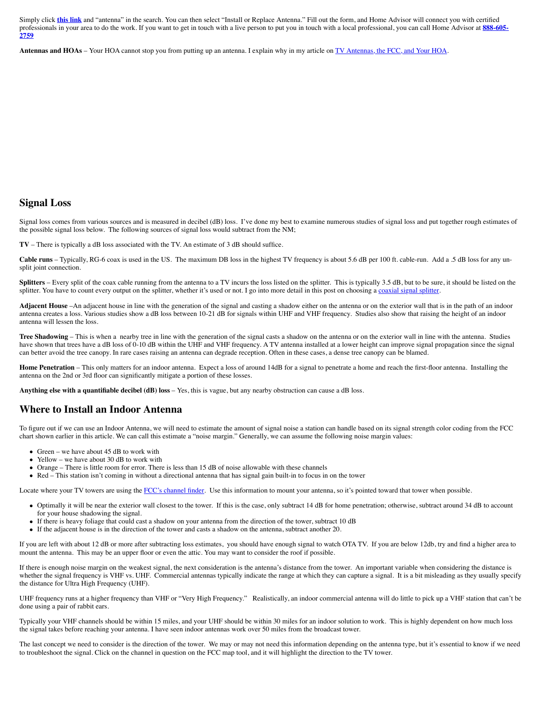Simply click **[this link](https://www.groundedreason.com/recommends/homeAdvisor)** and "antenna" in the search. You can then select "Install or Replace Antenna." Fill out the form, and Home Advisor will connect you with certified [professionals in your area to do the work. If you want to get in touch with a live person to put you in touch with a local professional, you can call Home Advisor at](http://66trp.com/c/1172-248104-13275296?us=click-7815431-10686949%3FPPCPN%3D8886052759&mobile=1) **888-605- 2759**

**Antennas and HOAs** – Your HOA cannot stop you from putting up an antenna. I explain why in my article on [TV Antennas, the FCC, and Your HOA](https://www.groundedreason.com/tv-antennas-fcc-hoa/).

## **Signal Loss**

Signal loss comes from various sources and is measured in decibel (dB) loss. I've done my best to examine numerous studies of signal loss and put together rough estimates of the possible signal loss below. The following sources of signal loss would subtract from the NM;

**TV** – There is typically a dB loss associated with the TV. An estimate of 3 dB should suffice.

Cable runs – Typically, RG-6 coax is used in the US. The maximum DB loss in the highest TV frequency is about 5.6 dB per 100 ft. cable-run. Add a .5 dB loss for any unsplit joint connection.

**Splitters** – Every split of the coax cable running from the antenna to a TV incurs the loss listed on the splitter. This is typically 3.5 dB, but to be sure, it should be listed on the splitter. You have to count every output on the splitter, whether it's used or not. I go into more detail in this post on choosing a [coaxial signal splitter](https://www.groundedreason.com/tv-aerial-splitter-use/).

Adjacent House –An adjacent house in line with the generation of the signal and casting a shadow either on the antenna or on the exterior wall that is in the path of an indoor antenna creates a loss. Various studies show a dB loss between 10-21 dB for signals within UHF and VHF frequency. Studies also show that raising the height of an indoor antenna will lessen the loss.

Tree Shadowing – This is when a nearby tree in line with the generation of the signal casts a shadow on the antenna or on the exterior wall in line with the antenna. Studies have shown that trees have a dB loss of 0-10 dB within the UHF and VHF frequency. A TV antenna installed at a lower height can improve signal propagation since the signal can better avoid the tree canopy. In rare cases raising an antenna can degrade reception. Often in these cases, a dense tree canopy can be blamed.

**Home Penetration** – This only matters for an indoor antenna. Expect a loss of around 14dB for a signal to penetrate a home and reach the first-floor antenna. Installing the antenna on the 2nd or 3rd floor can significantly mitigate a portion of these losses.

**Anything else with a quantifiable decibel (dB) loss** – Yes, this is vague, but any nearby obstruction can cause a dB loss.

## **Where to Install an Indoor Antenna**

To figure out if we can use an Indoor Antenna, we will need to estimate the amount of signal noise a station can handle based on its signal strength color coding from the FCC chart shown earlier in this article. We can call this estimate a "noise margin." Generally, we can assume the following noise margin values:

- Green we have about  $45$  dB to work with
- Yellow we have about 30 dB to work with
- Orange There is little room for error. There is less than 15 dB of noise allowable with these channels
- Red This station isn't coming in without a directional antenna that has signal gain built-in to focus in on the tower

Locate where your TV towers are using the [FCC's channel finder.](https://www.fcc.gov/media/engineering/dtvmaps) Use this information to mount your antenna, so it's pointed toward that tower when possible.

- Optimally it will be near the exterior wall closest to the tower. If this is the case, only subtract 14 dB for home penetration; otherwise, subtract around 34 dB to account for your house shadowing the signal.
- If there is heavy foliage that could cast a shadow on your antenna from the direction of the tower, subtract 10 dB
- If the adjacent house is in the direction of the tower and casts a shadow on the antenna, subtract another 20.

If you are left with about 12 dB or more after subtracting loss estimates, you should have enough signal to watch OTA TV. If you are below 12db, try and find a higher area to mount the antenna. This may be an upper floor or even the attic. You may want to consider the roof if possible.

If there is enough noise margin on the weakest signal, the next consideration is the antenna's distance from the tower. An important variable when considering the distance is whether the signal frequency is VHF vs. UHF. Commercial antennas typically indicate the range at which they can capture a signal. It is a bit misleading as they usually specify the distance for Ultra High Frequency (UHF).

UHF frequency runs at a higher frequency than VHF or "Very High Frequency." Realistically, an indoor commercial antenna will do little to pick up a VHF station that can't be done using a pair of rabbit ears.

Typically your VHF channels should be within 15 miles, and your UHF should be within 30 miles for an indoor solution to work. This is highly dependent on how much loss the signal takes before reaching your antenna. I have seen indoor antennas work over 50 miles from the broadcast tower.

The last concept we need to consider is the direction of the tower. We may or may not need this information depending on the antenna type, but it's essential to know if we need to troubleshoot the signal. Click on the channel in question on the FCC map tool, and it will highlight the direction to the TV tower.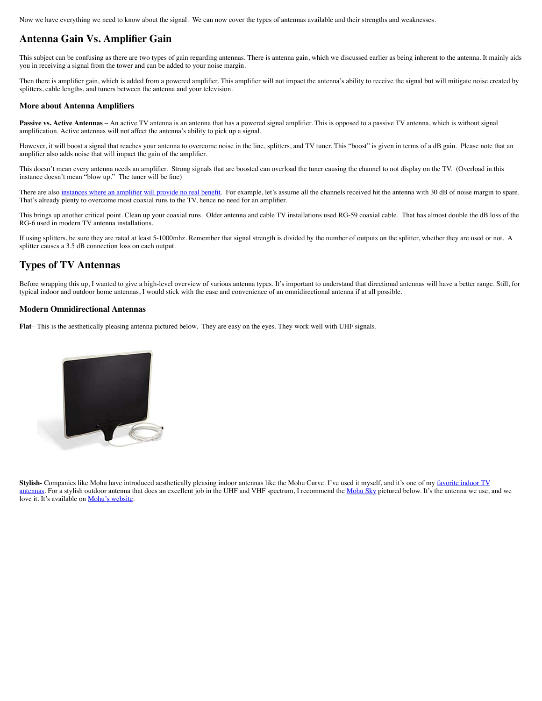Now we have everything we need to know about the signal. We can now cover the types of antennas available and their strengths and weaknesses.

## **Antenna Gain Vs. Amplifier Gain**

This subject can be confusing as there are two types of gain regarding antennas. There is antenna gain, which we discussed earlier as being inherent to the antenna. It mainly aids you in receiving a signal from the tower and can be added to your noise margin.

Then there is amplifier gain, which is added from a powered amplifier. This amplifier will not impact the antenna's ability to receive the signal but will mitigate noise created by splitters, cable lengths, and tuners between the antenna and your television.

#### **More about Antenna Amplifiers**

**Passive vs. Active Antennas** – An active TV antenna is an antenna that has a powered signal amplifier. This is opposed to a passive TV antenna, which is without signal amplification. Active antennas will not affect the antenna's ability to pick up a signal.

However, it will boost a signal that reaches your antenna to overcome noise in the line, splitters, and TV tuner. This "boost" is given in terms of a dB gain. Please note that an amplifier also adds noise that will impact the gain of the amplifier.

This doesn't mean every antenna needs an amplifier. Strong signals that are boosted can overload the tuner causing the channel to not display on the TV. (Overload in this instance doesn't mean "blow up." The tuner will be fine)

There are also [instances where an amplifier will provide no real benefit](https://www.groundedreason.com/dont-assume-your-tv-antenna-needs-an-amplifier/). For example, let's assume all the channels received hit the antenna with 30 dB of noise margin to spare. That's already plenty to overcome most coaxial runs to the TV, hence no need for an amplifier.

This brings up another critical point. Clean up your coaxial runs. Older antenna and cable TV installations used RG-59 coaxial cable. That has almost double the dB loss of the RG-6 used in modern TV antenna installations.

If using splitters, be sure they are rated at least 5-1000mhz. Remember that signal strength is divided by the number of outputs on the splitter, whether they are used or not. A splitter causes a 3.5 dB connection loss on each output.

## **Types of TV Antennas**

Before wrapping this up, I wanted to give a high-level overview of various antenna types. It's important to understand that directional antennas will have a better range. Still, for typical indoor and outdoor home antennas, I would stick with the ease and convenience of an omnidirectional antenna if at all possible.

### **Modern Omnidirectional Antennas**

**Flat**– This is the aesthetically pleasing antenna pictured below. They are easy on the eyes. They work well with UHF signals.



Stylish- Companies like Mohu have introduced aesthetically pleasing indoor antennas like the Mohu Curve. I've used it myself, and it's one of my favorite indoor TV [antennas. For a stylish outdoor antenna that does an excellent job in the UHF and VHF spectrum, I recommend the Mohu Sky pictured below. It's the antenna we use,](https://www.groundedreason.com/mohu-curve-antenna-sleek-effective/) and we love it. It's available on **Mohu's website**.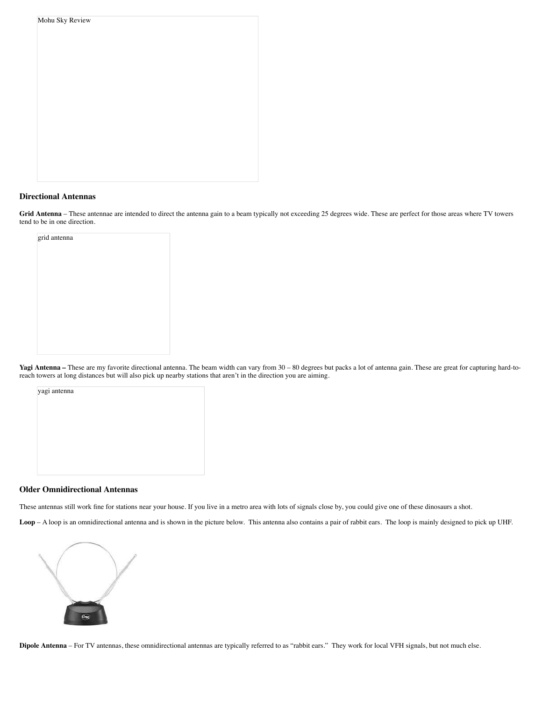| Mohu Sky Review |  |  |  |
|-----------------|--|--|--|
|                 |  |  |  |
|                 |  |  |  |
|                 |  |  |  |
|                 |  |  |  |
|                 |  |  |  |
|                 |  |  |  |
|                 |  |  |  |
|                 |  |  |  |
|                 |  |  |  |
|                 |  |  |  |
|                 |  |  |  |
|                 |  |  |  |
|                 |  |  |  |
|                 |  |  |  |

## **Directional Antennas**

Grid Antenna – These antennae are intended to direct the antenna gain to a beam typically not exceeding 25 degrees wide. These are perfect for those areas where TV towers tend to be in one direction.

grid antenna

Yagi Antenna – These are my favorite directional antenna. The beam width can vary from 30 – 80 degrees but packs a lot of antenna gain. These are great for capturing hard-toreach towers at long distances but will also pick up nearby stations that aren't in the direction you are aiming.

yagi antenna

### **Older Omnidirectional Antennas**

These antennas still work fine for stations near your house. If you live in a metro area with lots of signals close by, you could give one of these dinosaurs a shot.

**Loop** – A loop is an omnidirectional antenna and is shown in the picture below. This antenna also contains a pair of rabbit ears. The loop is mainly designed to pick up UHF.



**Dipole Antenna** – For TV antennas, these omnidirectional antennas are typically referred to as "rabbit ears." They work for local VFH signals, but not much else.